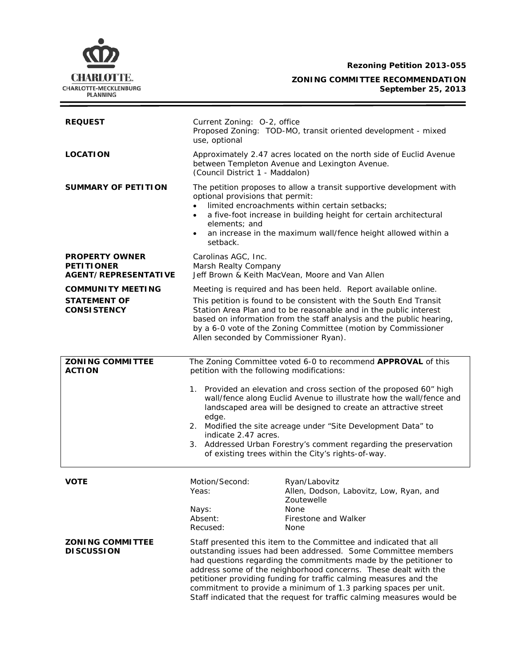**Rezoning Petition 2013-055**



**ZONING COMMITTEE RECOMMENDATION September 25, 2013**

| <b>REQUEST</b>                                                            | Current Zoning: O-2, office<br>Proposed Zoning: TOD-MO, transit oriented development - mixed<br>use, optional                                                                                                                                                                                                                                                                                                                                                                                                                                           |                                                                        |
|---------------------------------------------------------------------------|---------------------------------------------------------------------------------------------------------------------------------------------------------------------------------------------------------------------------------------------------------------------------------------------------------------------------------------------------------------------------------------------------------------------------------------------------------------------------------------------------------------------------------------------------------|------------------------------------------------------------------------|
| <b>LOCATION</b>                                                           | Approximately 2.47 acres located on the north side of Euclid Avenue<br>between Templeton Avenue and Lexington Avenue.<br>(Council District 1 - Maddalon)                                                                                                                                                                                                                                                                                                                                                                                                |                                                                        |
| <b>SUMMARY OF PETITION</b>                                                | The petition proposes to allow a transit supportive development with<br>optional provisions that permit:<br>limited encroachments within certain setbacks;<br>a five-foot increase in building height for certain architectural<br>$\bullet$<br>elements; and<br>an increase in the maximum wall/fence height allowed within a<br>$\bullet$<br>setback.                                                                                                                                                                                                 |                                                                        |
| <b>PROPERTY OWNER</b><br><b>PETITIONER</b><br><b>AGENT/REPRESENTATIVE</b> | Carolinas AGC, Inc.<br>Marsh Realty Company<br>Jeff Brown & Keith MacVean, Moore and Van Allen                                                                                                                                                                                                                                                                                                                                                                                                                                                          |                                                                        |
| <b>COMMUNITY MEETING</b><br><b>STATEMENT OF</b><br><b>CONSISTENCY</b>     | Meeting is required and has been held. Report available online.<br>This petition is found to be consistent with the South End Transit<br>Station Area Plan and to be reasonable and in the public interest<br>based on information from the staff analysis and the public hearing,<br>by a 6-0 vote of the Zoning Committee (motion by Commissioner<br>Allen seconded by Commissioner Ryan).                                                                                                                                                            |                                                                        |
|                                                                           |                                                                                                                                                                                                                                                                                                                                                                                                                                                                                                                                                         |                                                                        |
| <b>ZONING COMMITTEE</b><br><b>ACTION</b>                                  | The Zoning Committee voted 6-0 to recommend APPROVAL of this<br>petition with the following modifications:<br>1. Provided an elevation and cross section of the proposed 60" high<br>wall/fence along Euclid Avenue to illustrate how the wall/fence and<br>landscaped area will be designed to create an attractive street<br>edge.<br>2. Modified the site acreage under "Site Development Data" to<br>indicate 2.47 acres.<br>3. Addressed Urban Forestry's comment regarding the preservation<br>of existing trees within the City's rights-of-way. |                                                                        |
|                                                                           |                                                                                                                                                                                                                                                                                                                                                                                                                                                                                                                                                         |                                                                        |
|                                                                           |                                                                                                                                                                                                                                                                                                                                                                                                                                                                                                                                                         |                                                                        |
|                                                                           |                                                                                                                                                                                                                                                                                                                                                                                                                                                                                                                                                         |                                                                        |
| <b>VOTE</b>                                                               | Motion/Second:<br>Yeas:                                                                                                                                                                                                                                                                                                                                                                                                                                                                                                                                 | Ryan/Labovitz<br>Allen, Dodson, Labovitz, Low, Ryan, and<br>Zoutewelle |
|                                                                           | Nays:<br>Absent:<br>Recused:                                                                                                                                                                                                                                                                                                                                                                                                                                                                                                                            | <b>None</b><br>Firestone and Walker<br>None                            |
| <b>ZONING COMMITTEE</b><br><b>DISCUSSION</b>                              | Staff presented this item to the Committee and indicated that all<br>outstanding issues had been addressed. Some Committee members<br>had questions regarding the commitments made by the petitioner to<br>address some of the neighborhood concerns. These dealt with the<br>petitioner providing funding for traffic calming measures and the<br>commitment to provide a minimum of 1.3 parking spaces per unit.<br>Staff indicated that the request for traffic calming measures would be                                                            |                                                                        |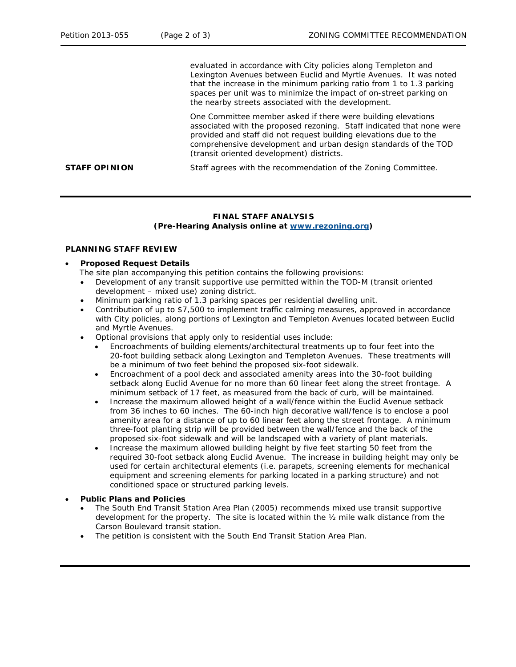evaluated in accordance with City policies along Templeton and Lexington Avenues between Euclid and Myrtle Avenues. It was noted that the increase in the minimum parking ratio from 1 to 1.3 parking spaces per unit was to minimize the impact of on-street parking on the nearby streets associated with the development.

One Committee member asked if there were building elevations associated with the proposed rezoning. Staff indicated that none were provided and staff did not request building elevations due to the comprehensive development and urban design standards of the TOD (transit oriented development) districts.

**STAFF OPINION** Staff agrees with the recommendation of the Zoning Committee.

# **FINAL STAFF ANALYSIS (Pre-Hearing Analysis online at [www.rezoning.org\)](http://www.rezoning.org/)**

## **PLANNING STAFF REVIEW**

## • **Proposed Request Details**

- The site plan accompanying this petition contains the following provisions:
- Development of any transit supportive use permitted within the TOD-M (transit oriented development – mixed use) zoning district.
- Minimum parking ratio of 1.3 parking spaces per residential dwelling unit.
- Contribution of up to \$7,500 to implement traffic calming measures, approved in accordance with City policies, along portions of Lexington and Templeton Avenues located between Euclid and Myrtle Avenues.
- Optional provisions that apply only to residential uses include:
	- Encroachments of building elements/architectural treatments up to four feet into the 20-foot building setback along Lexington and Templeton Avenues. These treatments will be a minimum of two feet behind the proposed six-foot sidewalk.
	- Encroachment of a pool deck and associated amenity areas into the 30-foot building setback along Euclid Avenue for no more than 60 linear feet along the street frontage. A minimum setback of 17 feet, as measured from the back of curb, will be maintained.
	- Increase the maximum allowed height of a wall/fence within the Euclid Avenue setback from 36 inches to 60 inches. The 60-inch high decorative wall/fence is to enclose a pool amenity area for a distance of up to 60 linear feet along the street frontage. A minimum three-foot planting strip will be provided between the wall/fence and the back of the proposed six-foot sidewalk and will be landscaped with a variety of plant materials.
	- Increase the maximum allowed building height by five feet starting 50 feet from the required 30-foot setback along Euclid Avenue. The increase in building height may only be used for certain architectural elements (i.e. parapets, screening elements for mechanical equipment and screening elements for parking located in a parking structure) and not conditioned space or structured parking levels.

### • **Public Plans and Policies**

- The *South End Transit Station Area Plan* (2005) recommends mixed use transit supportive development for the property. The site is located within the ½ mile walk distance from the Carson Boulevard transit station.
- The petition is consistent with the *South End Transit Station Area Plan*.